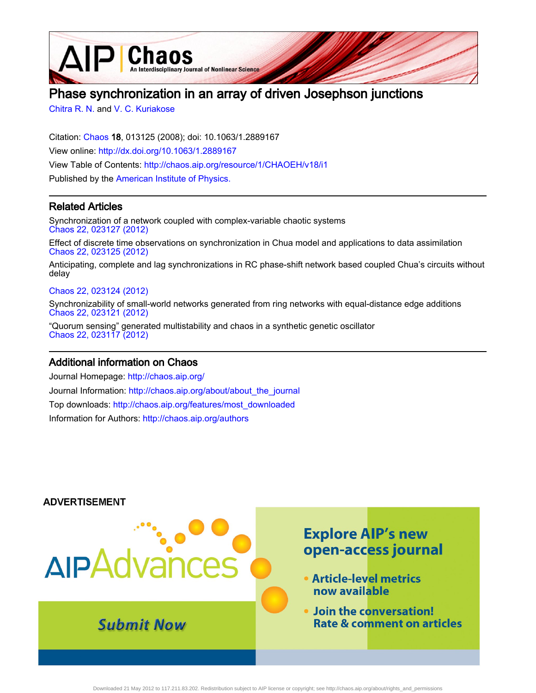**D**Chaos An Interdisciplinary Journal of Nonlinear Science

# Phase synchronization in an array of driven Josephson junctions

[Chitra R. N.](http://chaos.aip.org/search?sortby=newestdate&q=&searchzone=2&searchtype=searchin&faceted=faceted&key=AIP_ALL&possible1=Chitra R. N.&possible1zone=author&alias=&displayid=AIP&ver=pdfcov) and [V. C. Kuriakose](http://chaos.aip.org/search?sortby=newestdate&q=&searchzone=2&searchtype=searchin&faceted=faceted&key=AIP_ALL&possible1=V. C. Kuriakose&possible1zone=author&alias=&displayid=AIP&ver=pdfcov)

Citation: [Chaos](http://chaos.aip.org/?ver=pdfcov) 18, 013125 (2008); doi: 10.1063/1.2889167 View online: [http://dx.doi.org/10.1063/1.2889167](http://link.aip.org/link/doi/10.1063/1.2889167?ver=pdfcov) View Table of Contents: [http://chaos.aip.org/resource/1/CHAOEH/v18/i1](http://chaos.aip.org/resource/1/CHAOEH/v18/i1?ver=pdfcov) Published by the [American Institute of Physics.](http://www.aip.org/?ver=pdfcov)

# Related Articles

Synchronization of a network coupled with complex-variable chaotic systems [Chaos 22, 023127 \(2012\)](http://link.aip.org/link/doi/10.1063/1.4717525?ver=pdfcov)

Effect of discrete time observations on synchronization in Chua model and applications to data assimilation [Chaos 22, 023125 \(2012\)](http://link.aip.org/link/doi/10.1063/1.4712591?ver=pdfcov)

Anticipating, complete and lag synchronizations in RC phase-shift network based coupled Chua's circuits without delay

### [Chaos 22, 023124 \(2012\)](http://link.aip.org/link/doi/10.1063/1.4711375?ver=pdfcov)

Synchronizability of small-world networks generated from ring networks with equal-distance edge additions [Chaos 22, 023121 \(2012\)](http://link.aip.org/link/doi/10.1063/1.4711008?ver=pdfcov)

"Quorum sensing" generated multistability and chaos in a synthetic genetic oscillator [Chaos 22, 023117 \(2012\)](http://link.aip.org/link/doi/10.1063/1.4705085?ver=pdfcov)

## Additional information on Chaos

Journal Homepage: [http://chaos.aip.org/](http://chaos.aip.org/?ver=pdfcov) Journal Information: [http://chaos.aip.org/about/about\\_the\\_journal](http://chaos.aip.org/about/about_the_journal?ver=pdfcov) Top downloads: [http://chaos.aip.org/features/most\\_downloaded](http://chaos.aip.org/features/most_downloaded?ver=pdfcov) Information for Authors: [http://chaos.aip.org/authors](http://chaos.aip.org/authors?ver=pdfcov)

### **ADVERTISEMENT**

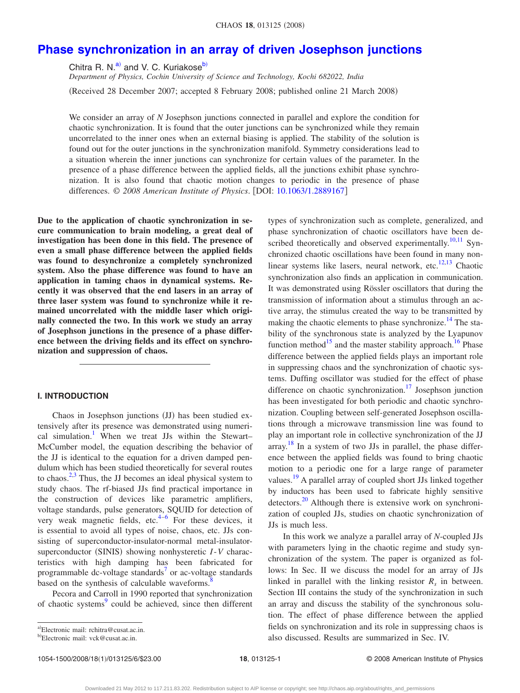# **[Phase synchronization in an array of driven Josephson junctions](http://dx.doi.org/10.1063/1.2889167)**

Chitra R. N. $a$  and V. C. Kuriakose<sup>b)</sup>

*Department of Physics, Cochin University of Science and Technology, Kochi 682022, India* Received 28 December 2007; accepted 8 February 2008; published online 21 March 2008-

We consider an array of *N* Josephson junctions connected in parallel and explore the condition for chaotic synchronization. It is found that the outer junctions can be synchronized while they remain uncorrelated to the inner ones when an external biasing is applied. The stability of the solution is found out for the outer junctions in the synchronization manifold. Symmetry considerations lead to a situation wherein the inner junctions can synchronize for certain values of the parameter. In the presence of a phase difference between the applied fields, all the junctions exhibit phase synchronization. It is also found that chaotic motion changes to periodic in the presence of phase differences. © *2008 American Institute of Physics*. DOI: [10.1063/1.2889167](http://dx.doi.org/10.1063/1.2889167)

**Due to the application of chaotic synchronization in secure communication to brain modeling, a great deal of investigation has been done in this field. The presence of even a small phase difference between the applied fields was found to desynchronize a completely synchronized system. Also the phase difference was found to have an application in taming chaos in dynamical systems. Recently it was observed that the end lasers in an array of three laser system was found to synchronize while it remained uncorrelated with the middle laser which originally connected the two. In this work we study an array of Josephson junctions in the presence of a phase difference between the driving fields and its effect on synchronization and suppression of chaos.**

#### **I. INTRODUCTION**

Chaos in Josephson junctions (JJ) has been studied extensively after its presence was demonstrated using numerical simulation.<sup>1</sup> When we treat JJs within the Stewart– McCumber model, the equation describing the behavior of the JJ is identical to the equation for a driven damped pendulum which has been studied theoretically for several routes to chaos. $2,3$  $2,3$  Thus, the JJ becomes an ideal physical system to study chaos. The rf-biased JJs find practical importance in the construction of devices like parametric amplifiers, voltage standards, pulse generators, SQUID for detection of very weak magnetic fields, etc. $4-6$  For these devices, it is essential to avoid all types of noise, chaos, etc. JJs consisting of superconductor-insulator-normal metal-insulatorsuperconductor (SINIS) showing nonhysteretic *I*-*V* characteristics with high damping has been fabricated for programmable dc-voltage standards<sup>7</sup> or ac-voltage standards based on the synthesis of calculable waveforms.<sup>8</sup>

Pecora and Carroll in 1990 reported that synchronization of chaotic systems<sup>9</sup> could be achieved, since then different

<span id="page-1-0"></span>a)Electronic mail: rchitra@cusat.ac.in.

phase synchronization of chaotic oscillators have been de-scribed theoretically and observed experimentally.<sup>10[,11](#page-6-6)</sup> Synchronized chaotic oscillations have been found in many nonlinear systems like lasers, neural network, etc. $12,13$  $12,13$  Chaotic synchronization also finds an application in communication. It was demonstrated using Rössler oscillators that during the transmission of information about a stimulus through an active array, the stimulus created the way to be transmitted by making the chaotic elements to phase synchronize.<sup>14</sup> The stability of the synchronous state is analyzed by the Lyapunov function method<sup>15</sup> and the master stability approach.<sup>16</sup> Phase difference between the applied fields plays an important role in suppressing chaos and the synchronization of chaotic systems. Duffing oscillator was studied for the effect of phase difference on chaotic synchronization.<sup>17</sup> Josephson junction has been investigated for both periodic and chaotic synchronization. Coupling between self-generated Josephson oscillations through a microwave transmission line was found to play an important role in collective synchronization of the JJ array.<sup>[18](#page-6-13)</sup> In a system of two JJs in parallel, the phase difference between the applied fields was found to bring chaotic motion to a periodic one for a large range of parameter values.<sup>19</sup> A parallel array of coupled short JJs linked together by inductors has been used to fabricate highly sensitive detectors[.20](#page-6-15) Although there is extensive work on synchronization of coupled JJs, studies on chaotic synchronization of JJs is much less.

types of synchronization such as complete, generalized, and

In this work we analyze a parallel array of *N*-coupled JJs with parameters lying in the chaotic regime and study synchronization of the system. The paper is organized as follows: In Sec. II we discuss the model for an array of JJs linked in parallel with the linking resistor  $R_s$  in between. Section III contains the study of the synchronization in such an array and discuss the stability of the synchronous solution. The effect of phase difference between the applied fields on synchronization and its role in suppressing chaos is also discussed. Results are summarized in Sec. IV.

<span id="page-1-1"></span><sup>&</sup>lt;sup>b)</sup>Electronic mail: vck@cusat.ac.in.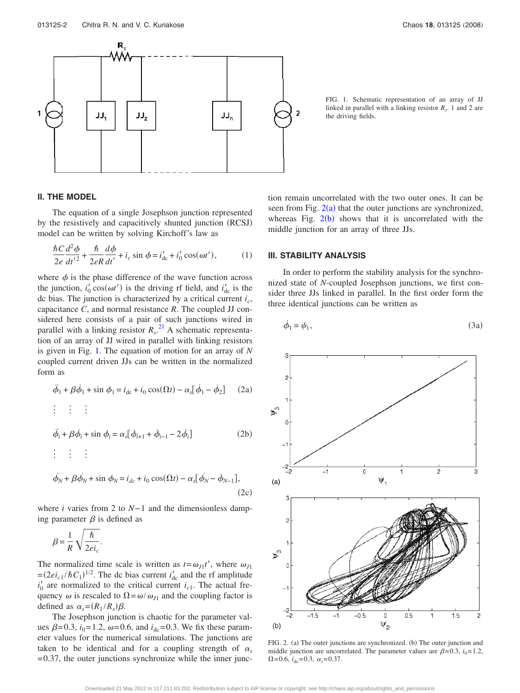<span id="page-2-0"></span>

FIG. 1. Schematic representation of an array of JJ linked in parallel with a linking resistor  $R<sub>s</sub>$ . 1 and 2 are the driving fields.

#### **II. THE MODEL**

The equation of a single Josephson junction represented by the resistively and capacitively shunted junction (RCSJ) model can be written by solving Kirchoff's law as

$$
\frac{\hbar C}{2e} \frac{d^2 \phi}{dt'^2} + \frac{\hbar}{2eR} \frac{d\phi}{dt'} + i_c \sin \phi = i'_{dc} + i'_0 \cos(\omega t'),\tag{1}
$$

where  $\phi$  is the phase difference of the wave function across the junction,  $i'_0 \cos(\omega t')$  is the driving rf field, and  $i'_{dc}$  is the dc bias. The junction is characterized by a critical current *ic*, capacitance *C*, and normal resistance *R*. The coupled JJ considered here consists of a pair of such junctions wired in parallel with a linking resistor  $R_s$ .<sup>[21](#page-6-16)</sup> A schematic representation of an array of JJ wired in parallel with linking resistors is given in Fig. [1.](#page-2-0) The equation of motion for an array of *N* coupled current driven JJs can be written in the normalized form as

$$
\ddot{\phi}_1 + \beta \dot{\phi}_1 + \sin \phi_1 = i_{\text{dc}} + i_0 \cos(\Omega t) - \alpha_s [\dot{\phi}_1 - \dot{\phi}_2]
$$
 (2a)

$$
\vdots \qquad \vdots
$$
\n
$$
\ddot{\phi}_i + \beta \dot{\phi}_i + \sin \phi_i = \alpha_s [\dot{\phi}_{i+1} + \dot{\phi}_{i-1} - 2 \dot{\phi}_i]
$$
\n(2b)

$$
\begin{aligned}\n\vdots &\quad \vdots &\quad \vdots \\
\ddot{\phi}_N + \beta \dot{\phi}_N + \sin \phi_N &= i_{dc} + i_0 \cos(\Omega t) - \alpha_s [\dot{\phi}_N - \dot{\phi}_{N-1}],\n\end{aligned}
$$
\n(2c)

where *i* varies from 2 to *N*− 1 and the dimensionless damping parameter  $\beta$  is defined as

$$
\beta = \frac{1}{R} \sqrt{\frac{\hbar}{2ei_c}}.
$$

The normalized time scale is written as  $t = \omega_{J1} t'$ , where  $\omega_{J1}$  $=(2ei_{c1}/\hbar C_1)^{1/2}$ . The dc bias current *i*<sub>dc</sub> and the rf amplitude  $i_0$ <sup>'</sup> are normalized to the critical current  $i_{c1}$ . The actual frequency  $\omega$  is rescaled to  $\Omega = \omega / \omega_{J1}$  and the coupling factor is defined as  $\alpha_s = (R_1 / R_s) \beta$ .

The Josephson junction is chaotic for the parameter values  $\beta = 0.3$ ,  $i_0 = 1.2$ ,  $\omega = 0.6$ , and  $i_{dc} = 0.3$ . We fix these parameter values for the numerical simulations. The junctions are taken to be identical and for a coupling strength of  $\alpha_s$  $= 0.37$ , the outer junctions synchronize while the inner junction remain uncorrelated with the two outer ones. It can be seen from Fig.  $2(a)$  $2(a)$  that the outer junctions are synchronized, whereas Fig.  $2(b)$  $2(b)$  shows that it is uncorrelated with the middle junction for an array of three JJs.

#### **III. STABILITY ANALYSIS**

In order to perform the stability analysis for the synchronized state of *N*-coupled Josephson junctions, we first consider three JJs linked in parallel. In the first order form the three identical junctions can be written as

<span id="page-2-2"></span>
$$
\dot{\phi}_1 = \psi_1,\tag{3a}
$$

<span id="page-2-1"></span>

FIG. 2. (a) The outer junctions are synchronized. (b) The outer junction and middle junction are uncorrelated. The parameter values are  $\beta$ =0.3,  $i_0$ =1.2,  $\Omega = 0.6$ ,  $i_{dc} = 0.3$ ,  $\alpha_s = 0.37$ .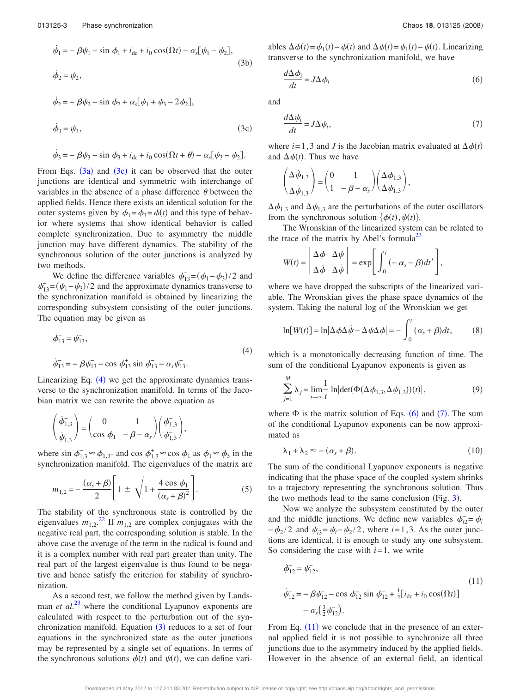$$
\dot{\psi}_1 = -\beta \psi_1 - \sin \phi_1 + i_{dc} + i_0 \cos(\Omega t) - \alpha_s [\psi_1 - \psi_2],
$$
  
\n
$$
\dot{\phi}_2 = \psi_2,
$$
\n(3b)

<span id="page-3-0"></span>
$$
\dot{\psi}_2 = -\beta \psi_2 - \sin \phi_2 + \alpha_s [\psi_1 + \psi_3 - 2\psi_2],
$$
  

$$
\dot{\phi}_3 = \psi_3,
$$
 (3c)

$$
\dot{\psi}_3 = -\beta \psi_3 - \sin \phi_3 + i_{\text{dc}} + i_0 \cos(\Omega t + \theta) - \alpha_s [\psi_3 - \psi_2].
$$

From Eqs.  $(3a)$  $(3a)$  $(3a)$  and  $(3c)$  $(3c)$  $(3c)$  it can be observed that the outer junctions are identical and symmetric with interchange of variables in the absence of a phase difference  $\theta$  between the applied fields. Hence there exists an identical solution for the outer systems given by  $\phi_1 = \phi_3 = \phi(t)$  and this type of behavior where systems that show identical behavior is called complete synchronization. Due to asymmetry the middle junction may have different dynamics. The stability of the synchronous solution of the outer junctions is analyzed by two methods.

We define the difference variables  $\phi_{13}^- = (\phi_1 - \phi_3)/2$  and  $\psi_{13}^-(\psi_1 - \psi_3)/2$  and the approximate dynamics transverse to the synchronization manifold is obtained by linearizing the corresponding subsystem consisting of the outer junctions. The equation may be given as

<span id="page-3-1"></span>
$$
\dot{\phi}_{13}^{-} = \psi_{13}^{-},
$$
\n
$$
\dot{\psi}_{13}^{-} = -\beta \psi_{13}^{-} - \cos \phi_{13}^{+} \sin \phi_{13}^{-} - \alpha_{s} \psi_{13}^{-}. \tag{4}
$$

Linearizing Eq.  $(4)$  $(4)$  $(4)$  we get the approximate dynamics transverse to the synchronization manifold. In terms of the Jacobian matrix we can rewrite the above equation as

$$
\begin{pmatrix}\n\dot{\phi}_{1,3}^{-} \\
\dot{\psi}_{1,3}^{-}\n\end{pmatrix} = \begin{pmatrix}\n0 & 1 \\
\cos \phi_1 & -\beta - \alpha_s\n\end{pmatrix} \begin{pmatrix}\n\phi_{1,3}^{-} \\
\psi_{1,3}^{-}\n\end{pmatrix},
$$

where  $\sin \phi_{1,3}^- \approx \phi_{1,3}$ - and cos  $\phi_{1,3}^+ \approx \cos \phi_1$  as  $\phi_1 \approx \phi_3$  in the synchronization manifold. The eigenvalues of the matrix are

$$
m_{1,2} = -\frac{(\alpha_s + \beta)}{2} \left[ 1 \pm \sqrt{1 + \frac{4 \cos \phi_1}{(\alpha_s + \beta)^2}} \right].
$$
 (5)

The stability of the synchronous state is controlled by the eigenvalues  $m_{1,2}$ .<sup>[22](#page-6-17)</sup> If  $m_{1,2}$  are complex conjugates with the negative real part, the corresponding solution is stable. In the above case the average of the term in the radical is found and it is a complex number with real part greater than unity. The real part of the largest eigenvalue is thus found to be negative and hence satisfy the criterion for stability of synchronization.

As a second test, we follow the method given by Landsman *et al.*<sup>[23](#page-6-18)</sup> where the conditional Lyapunov exponents are calculated with respect to the perturbation out of the synchronization manifold. Equation  $(3)$  $(3)$  $(3)$  reduces to a set of four equations in the synchronized state as the outer junctions may be represented by a single set of equations. In terms of the synchronous solutions  $\phi(t)$  and  $\psi(t)$ , we can define vari-

ables  $\Delta \phi(t) = \phi_1(t) - \phi(t)$  and  $\Delta \psi(t) = \psi_1(t) - \psi(t)$ . Linearizing transverse to the synchronization manifold, we have

<span id="page-3-2"></span>
$$
\frac{d\Delta\phi_i}{dt} = J\Delta\phi_i
$$
 (6)

<span id="page-3-3"></span>and

 $\mathcal{L}$ 

$$
\frac{d\Delta\psi_i}{dt} = J\Delta\psi_i,\tag{7}
$$

where  $i = 1, 3$  and *J* is the Jacobian matrix evaluated at  $\Delta \phi(t)$ and  $\Delta \psi(t)$ . Thus we have

$$
\begin{pmatrix} \Delta \dot{\phi}_{1,3} \\ \Delta \dot{\psi}_{1,3} \end{pmatrix} = \begin{pmatrix} 0 & 1 \\ 1 & -\beta - \alpha_s \end{pmatrix} \begin{pmatrix} \Delta \phi_{1,3} \\ \Delta \psi_{1,3} \end{pmatrix},
$$

 $\Delta \phi_{1,3}$  and  $\Delta \psi_{1,3}$  are the perturbations of the outer oscillators from the synchronous solution  $\{\phi(t), \psi(t)\}.$ 

The Wronskian of the linearized system can be related to the trace of the matrix by Abel's formula<sup>23</sup>

$$
W(t) = \begin{vmatrix} \Delta \phi & \Delta \psi \\ \Delta \dot{\phi} & \Delta \dot{\psi} \end{vmatrix} = \exp \left[ \int_0^t (-\alpha_s - \beta) dt' \right],
$$

where we have dropped the subscripts of the linearized variable. The Wronskian gives the phase space dynamics of the system. Taking the natural log of the Wronskian we get

$$
\ln[W(t)] = \ln|\Delta\phi\Delta\dot{\psi} - \Delta\psi\Delta\dot{\phi}| = -\int_0^t (\alpha_s + \beta)dt, \qquad (8)
$$

which is a monotonically decreasing function of time. The sum of the conditional Lyapunov exponents is given as

$$
\sum_{j=1}^{M} \lambda_j = \lim_{t \to \infty} \frac{1}{t} \ln \left| \det(\Phi(\Delta \phi_{1,3}, \Delta \psi_{1,3}))(t) \right|, \tag{9}
$$

where  $\Phi$  is the matrix solution of Eqs. ([6](#page-3-2)) and ([7](#page-3-3)). The sum of the conditional Lyapunov exponents can be now approximated as

$$
\lambda_1 + \lambda_2 \approx -(\alpha_s + \beta). \tag{10}
$$

The sum of the conditional Lyapunov exponents is negative indicating that the phase space of the coupled system shrinks to a trajectory representing the synchronous solution. Thus the two methods lead to the same conclusion (Fig.  $3$ ).

Now we analyze the subsystem constituted by the outer and the middle junctions. We define new variables  $\phi_{i2}^- = \phi_i$  $-\phi_2/2$  and  $\psi_{i3} = \psi_i - \psi_2/2$ , where *i*=1,3. As the outer junctions are identical, it is enough to study any one subsystem. So considering the case with  $i=1$ , we write

<span id="page-3-4"></span>
$$
\dot{\phi}_{12}^{-} = \psi_{12}^{-},
$$
\n
$$
\dot{\psi}_{12}^{-} = -\beta \psi_{12}^{-} - \cos \phi_{12}^{+} \sin \phi_{12}^{-} + \frac{1}{2} [i_{dc} + i_{0} \cos(\Omega t)]
$$
\n
$$
- \alpha_{s} (\frac{3}{2} \psi_{12}^{-}).
$$
\n(11)

From Eq.  $(11)$  $(11)$  $(11)$  we conclude that in the presence of an external applied field it is not possible to synchronize all three junctions due to the asymmetry induced by the applied fields. However in the absence of an external field, an identical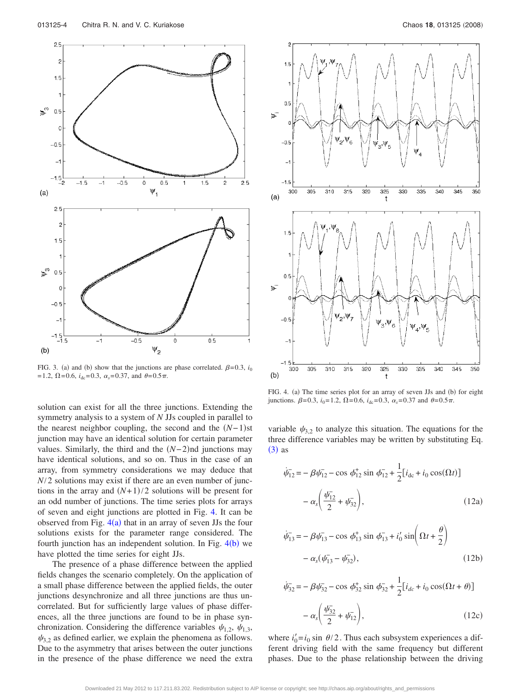<span id="page-4-0"></span>

FIG. 3. (a) and (b) show that the junctions are phase correlated.  $\beta = 0.3$ , *i*<sub>0</sub>  $= 1.2, \ \Omega = 0.6, \ i_{\text{dc}} = 0.3, \ \alpha_s = 0.37, \text{ and } \ \theta = 0.5 \pi.$ 

solution can exist for all the three junctions. Extending the symmetry analysis to a system of *N* JJs coupled in parallel to the nearest neighbor coupling, the second and the  $(N-1)$ st junction may have an identical solution for certain parameter values. Similarly, the third and the  $(N-2)$ nd junctions may have identical solutions, and so on. Thus in the case of an array, from symmetry considerations we may deduce that *N*/2 solutions may exist if there are an even number of junctions in the array and  $(N+1)/2$  solutions will be present for an odd number of junctions. The time series plots for arrays of seven and eight junctions are plotted in Fig. [4.](#page-4-1) It can be observed from Fig.  $4(a)$  $4(a)$  that in an array of seven JJs the four solutions exists for the parameter range considered. The fourth junction has an independent solution. In Fig. [4](#page-4-1)(b) we have plotted the time series for eight JJs.

The presence of a phase difference between the applied fields changes the scenario completely. On the application of a small phase difference between the applied fields, the outer junctions desynchronize and all three junctions are thus uncorrelated. But for sufficiently large values of phase differences, all the three junctions are found to be in phase synchronization. Considering the difference variables  $\psi_{1,2}$ ,  $\psi_{1,3}$ ,  $\psi_{3,2}$  as defined earlier, we explain the phenomena as follows. Due to the asymmetry that arises between the outer junctions in the presence of the phase difference we need the extra

<span id="page-4-1"></span>

FIG. 4. (a) The time series plot for an array of seven JJs and (b) for eight junctions.  $\beta = 0.3$ ,  $i_0 = 1.2$ ,  $\Omega = 0.6$ ,  $i_{dc} = 0.3$ ,  $\alpha_s = 0.37$  and  $\theta = 0.5\pi$ .

variable  $\psi_{3,2}$  to analyze this situation. The equations for the three difference variables may be written by substituting Eq.  $(3)$  $(3)$  $(3)$  as

$$
\dot{\psi}_{12} = -\beta \psi_{12}^- - \cos \phi_{12}^+ \sin \phi_{12}^- + \frac{1}{2} [i_{dc} + i_0 \cos(\Omega t)]
$$

$$
- \alpha_s \left( \frac{\psi_{12}^-}{2} + \psi_{32}^- \right), \tag{12a}
$$

$$
\dot{\psi}_{13}^{-} = -\beta \psi_{13}^{-} - \cos \phi_{13}^{+} \sin \phi_{13}^{-} + i_{0}' \sin \left(\Omega t + \frac{\theta}{2}\right)
$$

$$
- \alpha_{s}(\psi_{13}^{-} - \psi_{32}^{-}), \qquad (12b)
$$

$$
\dot{\psi}_{32} = -\beta \psi_{32} - \cos \phi_{32}^{+} \sin \phi_{32}^{-} + \frac{1}{2} [i_{dc} + i_0 \cos(\Omega t + \theta)] - \alpha_s \left( \frac{\psi_{32}^{-}}{2} + \psi_{12}^{-} \right),
$$
\n(12c)

where  $i'_0 = i_0 \sin \theta / 2$ . Thus each subsystem experiences a different driving field with the same frequency but different phases. Due to the phase relationship between the driving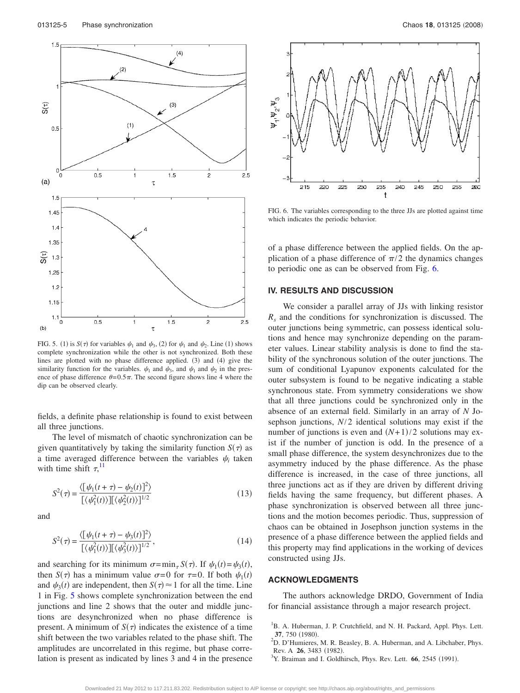<span id="page-5-3"></span>

FIG. 5. (1) is  $S(\tau)$  for variables  $\psi_1$  and  $\psi_3$ , (2) for  $\psi_1$  and  $\psi_2$ . Line (1) shows complete synchronization while the other is not synchronized. Both these lines are plotted with no phase difference applied. (3) and (4) give the similarity function for the variables.  $\psi_1$  and  $\psi_3$ , and  $\psi_1$  and  $\psi_2$  in the presence of phase difference  $\theta = 0.5\pi$ . The second figure shows line 4 where the dip can be observed clearly.

fields, a definite phase relationship is found to exist between all three junctions.

The level of mismatch of chaotic synchronization can be given quantitatively by taking the similarity function  $S(\tau)$  as a time averaged difference between the variables  $\psi_i$  taken with time shift  $\tau$ ,<sup>[11](#page-6-6)</sup>,

$$
S^{2}(\tau) = \frac{\langle [\psi_{1}(t+\tau) - \psi_{2}(t)]^{2} \rangle}{[\langle \psi_{1}^{2}(t) \rangle][\langle \psi_{2}^{2}(t) \rangle]^{1/2}}
$$
(13)

and

$$
S^{2}(\tau) = \frac{\langle [\psi_{1}(t+\tau) - \psi_{3}(t)]^{2} \rangle}{[\langle \psi_{1}^{2}(t) \rangle] [\langle \psi_{3}^{2}(t) \rangle]^{1/2}},
$$
\n(14)

and searching for its minimum  $\sigma = \min_{\tau} S(\tau)$ . If  $\psi_1(t) = \psi_3(t)$ , then *S*( $\tau$ ) has a minimum value  $\sigma$ =0 for  $\tau$ =0. If both  $\psi_1(t)$ and  $\psi_3(t)$  are independent, then  $S(\tau) \approx 1$  for all the time. Line 1 in Fig. [5](#page-5-3) shows complete synchronization between the end junctions and line 2 shows that the outer and middle junctions are desynchronized when no phase difference is present. A minimum of  $S(\tau)$  indicates the existence of a time shift between the two variables related to the phase shift. The amplitudes are uncorrelated in this regime, but phase correlation is present as indicated by lines 3 and 4 in the presence

<span id="page-5-4"></span>

FIG. 6. The variables corresponding to the three JJs are plotted against time which indicates the periodic behavior.

of a phase difference between the applied fields. On the application of a phase difference of  $\pi/2$  the dynamics changes to periodic one as can be observed from Fig. [6.](#page-5-4)

#### **IV. RESULTS AND DISCUSSION**

We consider a parallel array of JJs with linking resistor *Rs* and the conditions for synchronization is discussed. The outer junctions being symmetric, can possess identical solutions and hence may synchronize depending on the parameter values. Linear stability analysis is done to find the stability of the synchronous solution of the outer junctions. The sum of conditional Lyapunov exponents calculated for the outer subsystem is found to be negative indicating a stable synchronous state. From symmetry considerations we show that all three junctions could be synchronized only in the absence of an external field. Similarly in an array of *N* Josephson junctions, *N*/2 identical solutions may exist if the number of junctions is even and  $(N+1)/2$  solutions may exist if the number of junction is odd. In the presence of a small phase difference, the system desynchronizes due to the asymmetry induced by the phase difference. As the phase difference is increased, in the case of three junctions, all three junctions act as if they are driven by different driving fields having the same frequency, but different phases. A phase synchronization is observed between all three junctions and the motion becomes periodic. Thus, suppression of chaos can be obtained in Josephson junction systems in the presence of a phase difference between the applied fields and this property may find applications in the working of devices constructed using JJs.

#### **ACKNOWLEDGMENTS**

The authors acknowledge DRDO, Government of India for financial assistance through a major research project.

- <span id="page-5-1"></span> $^{2}$ D. D'Humieres, M. R. Beasley, B. A. Huberman, and A. Libchaber, Phys. Rev. A  $26$ , 3483 (1982).
- <span id="page-5-2"></span>Y. Braiman and I. Goldhirsch, Phys. Rev. Lett. 66, 2545 (1991).

<span id="page-5-0"></span><sup>&</sup>lt;sup>1</sup>B. A. Huberman, J. P. Crutchfield, and N. H. Packard, Appl. Phys. Lett. **37**, 750 (1980).